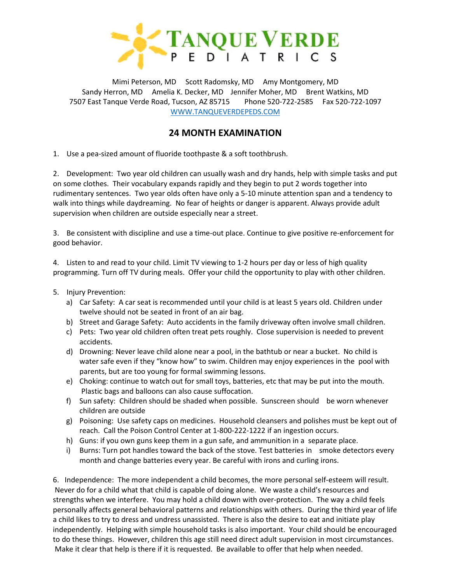

Mimi Peterson, MD Scott Radomsky, MD Amy Montgomery, MD Sandy Herron, MD Amelia K. Decker, MD Jennifer Moher, MD Brent Watkins, MD 7507 East Tanque Verde Road, Tucson, AZ 85715 Phone 520-722-2585 Fax 520-722-1097 [WWW.TANQUEVERDEPEDS.COM](http://www.tanqueverdepeds.com/)

# **24 MONTH EXAMINATION**

1. Use a pea-sized amount of fluoride toothpaste & a soft toothbrush.

2. Development: Two year old children can usually wash and dry hands, help with simple tasks and put on some clothes. Their vocabulary expands rapidly and they begin to put 2 words together into rudimentary sentences. Two year olds often have only a 5-10 minute attention span and a tendency to walk into things while daydreaming. No fear of heights or danger is apparent. Always provide adult supervision when children are outside especially near a street.

3. Be consistent with discipline and use a time-out place. Continue to give positive re-enforcement for good behavior.

4. Listen to and read to your child. Limit TV viewing to 1-2 hours per day or less of high quality programming. Turn off TV during meals. Offer your child the opportunity to play with other children.

- 5. Injury Prevention:
	- a) Car Safety: A car seat is recommended until your child is at least 5 years old. Children under twelve should not be seated in front of an air bag.
	- b) Street and Garage Safety: Auto accidents in the family driveway often involve small children.
	- c) Pets: Two year old children often treat pets roughly. Close supervision is needed to prevent accidents.
	- d) Drowning: Never leave child alone near a pool, in the bathtub or near a bucket. No child is water safe even if they "know how" to swim. Children may enjoy experiences in the pool with parents, but are too young for formal swimming lessons.
	- e) Choking: continue to watch out for small toys, batteries, etc that may be put into the mouth. Plastic bags and balloons can also cause suffocation.
	- f) Sun safety: Children should be shaded when possible. Sunscreen should be worn whenever children are outside
	- g) Poisoning: Use safety caps on medicines. Household cleansers and polishes must be kept out of reach. Call the Poison Control Center at 1-800-222-1222 if an ingestion occurs.
	- h) Guns: if you own guns keep them in a gun safe, and ammunition in a separate place.
	- i) Burns: Turn pot handles toward the back of the stove. Test batteries in smoke detectors every month and change batteries every year. Be careful with irons and curling irons.

6. Independence: The more independent a child becomes, the more personal self-esteem will result. Never do for a child what that child is capable of doing alone. We waste a child's resources and strengths when we interfere. You may hold a child down with over-protection. The way a child feels personally affects general behavioral patterns and relationships with others. During the third year of life a child likes to try to dress and undress unassisted. There is also the desire to eat and initiate play independently. Helping with simple household tasks is also important. Your child should be encouraged to do these things. However, children this age still need direct adult supervision in most circumstances. Make it clear that help is there if it is requested. Be available to offer that help when needed.